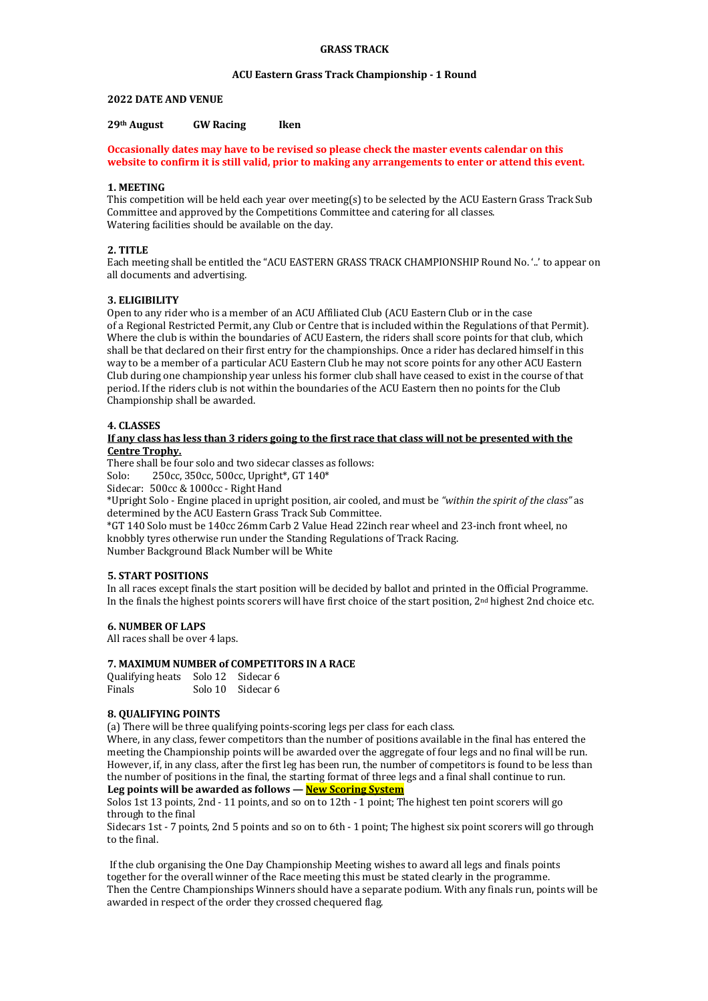#### **GRASS TRACK**

#### **ACU Eastern Grass Track Championship - 1 Round**

#### **2022 DATE AND VENUE**

### **29th August GW Racing Iken**

**Occasionally dates may have to be revised so please check the master events calendar on this** website to confirm it is still valid, prior to making any arrangements to enter or attend this event.

### **1. MEETING**

This competition will be held each year over meeting(s) to be selected by the ACU Eastern Grass Track Sub Committee and approved by the Competitions Committee and catering for all classes. Watering facilities should be available on the day.

## **2. TITLE**

Each meeting shall be entitled the "ACU EASTERN GRASS TRACK CHAMPIONSHIP Round No. '..' to appear on all documents and advertising.

## **3. ELIGIBILITY**

Open to any rider who is a member of an ACU Affiliated Club (ACU Eastern Club or in the case of a Regional Restricted Permit, any Club or Centre that is included within the Regulations of that Permit). Where the club is within the boundaries of ACU Eastern, the riders shall score points for that club, which shall be that declared on their first entry for the championships. Once a rider has declared himself in this way to be a member of a particular ACU Eastern Club he may not score points for any other ACU Eastern Club during one championship year unless his former club shall have ceased to exist in the course of that period. If the riders club is not within the boundaries of the ACU Eastern then no points for the Club Championship shall be awarded.

#### **4. CLASSES**

## If any class has less than 3 riders going to the first race that class will not be presented with the **Centre Trophy.**

There shall be four solo and two sidecar classes as follows:

Solo: 250cc, 350cc, 500cc, Upright\*, GT 140\*

Sidecar: 500cc & 1000cc - Right Hand

\*Upright Solo - Engine placed in upright position, air cooled, and must be *"within the spirit of the class"* as determined by the ACU Eastern Grass Track Sub Committee.

\*GT 140 Solo must be 140cc 26mm Carb 2 Value Head 22inch rear wheel and 23-inch front wheel, no knobbly tyres otherwise run under the Standing Regulations of Track Racing.

Number Background Black Number will be White

#### **5. START POSITIONS**

In all races except finals the start position will be decided by ballot and printed in the Official Programme. In the finals the highest points scorers will have first choice of the start position,  $2<sup>nd</sup>$  highest  $2nd$  choice etc.

#### **6. NUMBER OF LAPS**

All races shall be over 4 laps.

#### **7. MAXIMUM NUMBER of COMPETITORS IN A RACE**

Qualifying heats Solo 12 Sidecar 6 Finals Solo 10 Sidecar 6

## **8. QUALIFYING POINTS**

(a) There will be three qualifying points-scoring legs per class for each class.

Where, in any class, fewer competitors than the number of positions available in the final has entered the meeting the Championship points will be awarded over the aggregate of four legs and no final will be run. However, if, in any class, after the first leg has been run, the number of competitors is found to be less than the number of positions in the final, the starting format of three legs and a final shall continue to run. Leg points will be awarded as follows — New Scoring System

Solos 1st 13 points, 2nd - 11 points, and so on to  $12$ th - 1 point; The highest ten point scorers will go through to the final

Sidecars 1st - 7 points, 2nd 5 points and so on to 6th - 1 point; The highest six point scorers will go through to the final.

If the club organising the One Day Championship Meeting wishes to award all legs and finals points together for the overall winner of the Race meeting this must be stated clearly in the programme. Then the Centre Championships Winners should have a separate podium. With any finals run, points will be awarded in respect of the order they crossed chequered flag.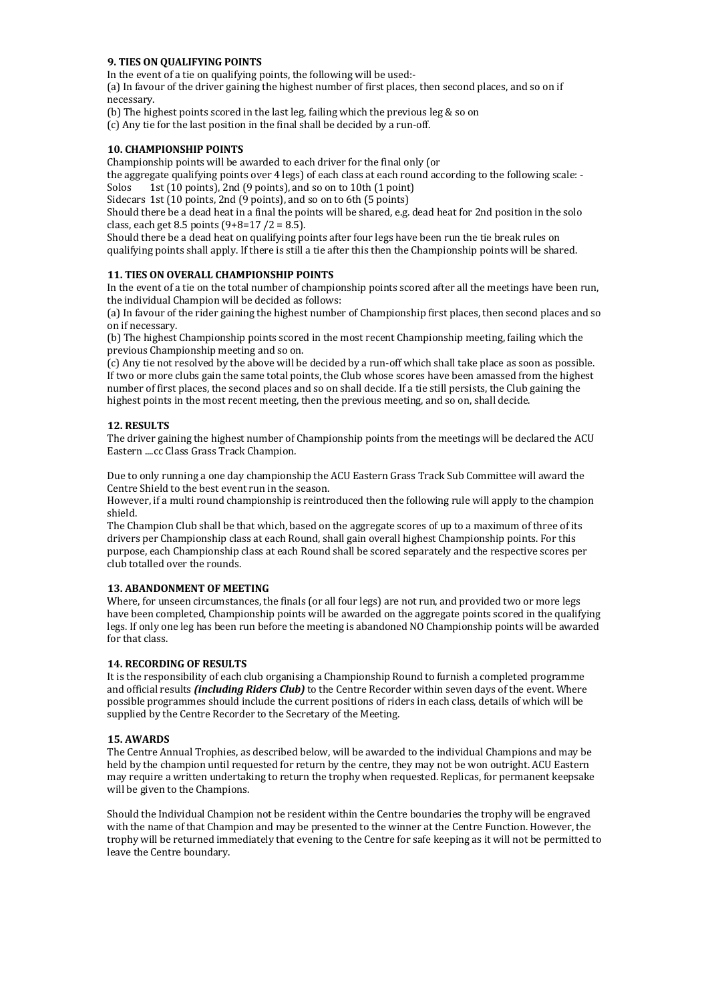# **9. TIES ON QUALIFYING POINTS**

In the event of a tie on qualifying points, the following will be used:-

(a) In favour of the driver gaining the highest number of first places, then second places, and so on if necessary.

(b) The highest points scored in the last leg, failing which the previous leg  $&$  so on

(c) Any tie for the last position in the final shall be decided by a run-off.

# **10. CHAMPIONSHIP POINTS**

Championship points will be awarded to each driver for the final only (or

the aggregate qualifying points over 4 legs) of each class at each round according to the following scale: -Solos 1st  $(10 \text{ points})$ , 2nd  $(9 \text{ points})$ , and so on to 10th  $(1 \text{ point})$ 

Sidecars  $1st(10 \text{ points}, 2nd(9 \text{ points}),$  and so on to 6th (5 points)

Should there be a dead heat in a final the points will be shared, e.g. dead heat for 2nd position in the solo class, each get 8.5 points  $(9+8=17 / 2 = 8.5)$ .

Should there be a dead heat on qualifying points after four legs have been run the tie break rules on qualifying points shall apply. If there is still a tie after this then the Championship points will be shared.

# **11. TIES ON OVERALL CHAMPIONSHIP POINTS**

In the event of a tie on the total number of championship points scored after all the meetings have been run, the individual Champion will be decided as follows:

(a) In favour of the rider gaining the highest number of Championship first places, then second places and so on if necessary.

(b) The highest Championship points scored in the most recent Championship meeting, failing which the previous Championship meeting and so on.

(c) Any tie not resolved by the above will be decided by a run-off which shall take place as soon as possible. If two or more clubs gain the same total points, the Club whose scores have been amassed from the highest number of first places, the second places and so on shall decide. If a tie still persists, the Club gaining the highest points in the most recent meeting, then the previous meeting, and so on, shall decide.

# **12. RESULTS**

The driver gaining the highest number of Championship points from the meetings will be declared the ACU Eastern ....cc Class Grass Track Champion.

Due to only running a one day championship the ACU Eastern Grass Track Sub Committee will award the Centre Shield to the best event run in the season.

However, if a multi round championship is reintroduced then the following rule will apply to the champion shield.

The Champion Club shall be that which, based on the aggregate scores of up to a maximum of three of its drivers per Championship class at each Round, shall gain overall highest Championship points. For this purpose, each Championship class at each Round shall be scored separately and the respective scores per club totalled over the rounds.

# **13. ABANDONMENT OF MEETING**

Where, for unseen circumstances, the finals (or all four legs) are not run, and provided two or more legs have been completed, Championship points will be awarded on the aggregate points scored in the qualifying legs. If only one leg has been run before the meeting is abandoned NO Championship points will be awarded for that class.

## **14. RECORDING OF RESULTS**

It is the responsibility of each club organising a Championship Round to furnish a completed programme and official results *(including Riders Club)* to the Centre Recorder within seven days of the event. Where possible programmes should include the current positions of riders in each class, details of which will be supplied by the Centre Recorder to the Secretary of the Meeting.

## **15. AWARDS**

The Centre Annual Trophies, as described below, will be awarded to the individual Champions and may be held by the champion until requested for return by the centre, they may not be won outright. ACU Eastern may require a written undertaking to return the trophy when requested. Replicas, for permanent keepsake will be given to the Champions.

Should the Individual Champion not be resident within the Centre boundaries the trophy will be engraved with the name of that Champion and may be presented to the winner at the Centre Function. However, the trophy will be returned immediately that evening to the Centre for safe keeping as it will not be permitted to leave the Centre boundary.